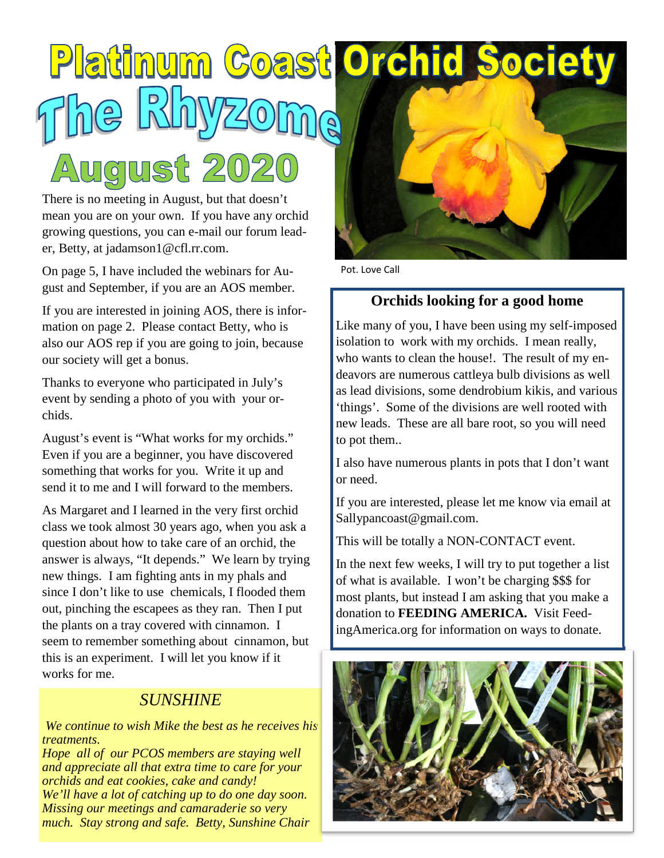# Platinum Coast Orchid Soci August 202

There is no meeting in August, but that doesn't mean you are on your own. If you have any orchid growing questions, you can e-mail our forum leader, Betty, at jadamson1@cfl.rr.com.

On page 5, I have included the webinars for August and September, if you are an AOS member.

If you are interested in joining AOS, there is information on page 2. Please contact Betty, who is also our AOS rep if you are going to join, because our society will get a bonus.

Thanks to everyone who participated in July's event by sending a photo of you with your orchids.

August's event is "What works for my orchids." Even if you are a beginner, you have discovered something that works for you. Write it up and send it to me and I will forward to the members.

As Margaret and I learned in the very first orchid class we took almost 30 years ago, when you ask a question about how to take care of an orchid, the answer is always, "It depends." We learn by trying new things. I am fighting ants in my phals and since I don't like to use chemicals, I flooded them out, pinching the escapees as they ran. Then I put the plants on a tray covered with cinnamon. I seem to remember something about cinnamon, but this is an experiment. I will let you know if it works for me.

## *SUNSHINE*

*We continue to wish Mike the best as he receives his treatments.*

*Hope all of our PCOS members are staying well and appreciate all that extra time to care for your orchids and eat cookies, cake and candy! We'll have a lot of catching up to do one day soon. Missing our meetings and camaraderie so very much. Stay strong and safe. Betty, Sunshine Chair*



Pot. Love Call

#### **Orchids looking for a good home**

Like many of you, I have been using my self-imposed isolation to work with my orchids. I mean really, who wants to clean the house!. The result of my endeavors are numerous cattleya bulb divisions as well as lead divisions, some dendrobium kikis, and various 'things'. Some of the divisions are well rooted with new leads. These are all bare root, so you will need to pot them..

I also have numerous plants in pots that I don't want or need.

If you are interested, please let me know via email at Sallypancoast@gmail.com.

This will be totally a NON-CONTACT event.

In the next few weeks, I will try to put together a list of what is available. I won't be charging \$\$\$ for most plants, but instead I am asking that you make a donation to **FEEDING AMERICA.** Visit FeedingAmerica.org for information on ways to donate.

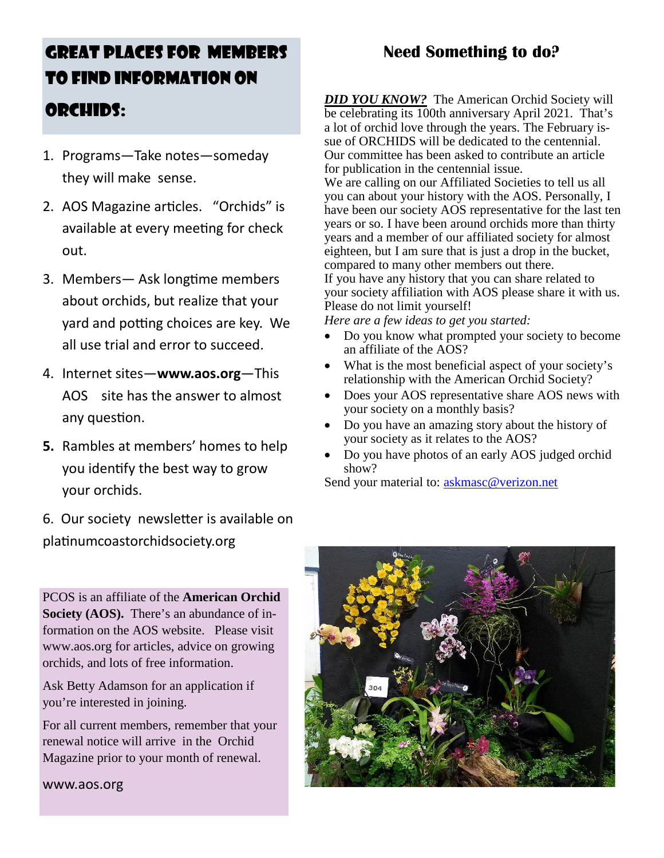# GREAT PLACES FOR MEMBERS TO FIND INFORMATION ON

- 1. Programs—Take notes—someday they will make sense.
- 2. AOS Magazine articles. "Orchids" is available at every meeting for check out.
- 3. Members— Ask longtime members about orchids, but realize that your yard and potting choices are key. We all use trial and error to succeed.
- 4. Internet sites—**www.aos.org**—This AOS site has the answer to almost any question.
- **5.** Rambles at members' homes to help you identify the best way to grow your orchids.
- 6. Our society newsletter is available on platinumcoastorchidsociety.org

PCOS is an affiliate of the **American Orchid Society (AOS).** There's an abundance of information on the AOS website. Please visit www.aos.org for articles, advice on growing orchids, and lots of free information.

Ask Betty Adamson for an application if you're interested in joining.

For all current members, remember that your renewal notice will arrive in the Orchid Magazine prior to your month of renewal.

www.aos.org

# **Need Something to do?**

**ORCHIDS:** *DID YOU KNOW?* The American Orchid Society will be celebrating its 100th anniversary April 2021. That's a lot of orchid love through the years. The February issue of ORCHIDS will be dedicated to the centennial. Our committee has been asked to contribute an article for publication in the centennial issue.

> We are calling on our Affiliated Societies to tell us all you can about your history with the AOS. Personally, I have been our society AOS representative for the last ten years or so. I have been around orchids more than thirty years and a member of our affiliated society for almost eighteen, but I am sure that is just a drop in the bucket, compared to many other members out there. If you have any history that you can share related to your society affiliation with AOS please share it with us. Please do not limit yourself!

*Here are a few ideas to get you started:*

- Do you know what prompted your society to become an affiliate of the AOS?
- What is the most beneficial aspect of your society's relationship with the American Orchid Society?
- Does your AOS representative share AOS news with your society on a monthly basis?
- Do you have an amazing story about the history of your society as it relates to the AOS?
- Do you have photos of an early AOS judged orchid show?

Send your material to: askmasc@verizon.net

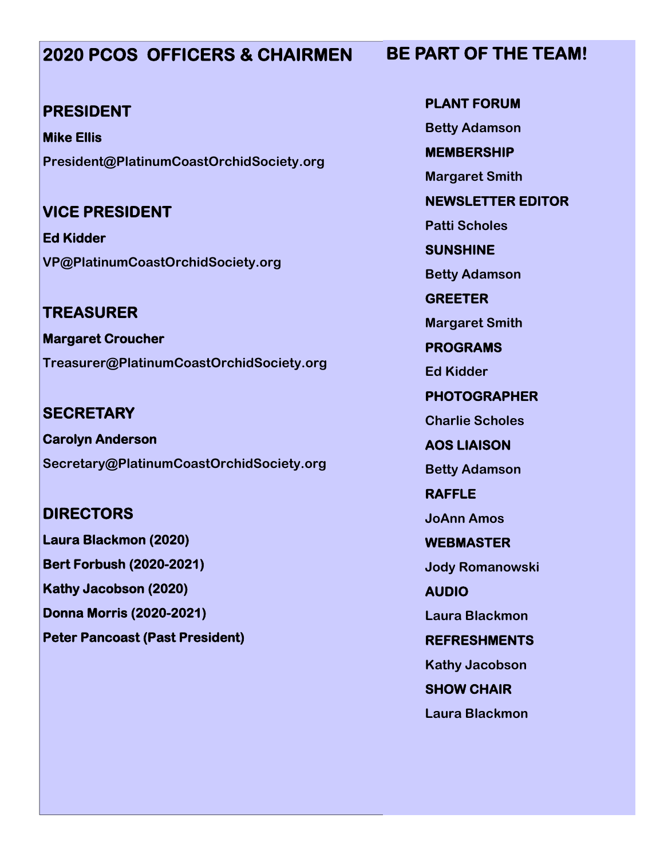# **2020 PCOS OFFICERS & CHAIRMEN**

#### **PRESIDENT**

**Mike Ellis President@PlatinumCoastOrchidSociety.org**

# **VICE PRESIDENT**

**Ed Kidder VP@PlatinumCoastOrchidSociety.org**

**TREASURER Margaret Croucher Treasurer@PlatinumCoastOrchidSociety.org**

**SECRETARY Carolyn Anderson Secretary@PlatinumCoastOrchidSociety.org**

## **DIRECTORS**

**Laura Blackmon (2020) Bert Forbush (2020-2021) Kathy Jacobson (2020) Donna Morris (2020-2021) Peter Pancoast (Past President)**

**PLANT FORUM Betty Adamson MEMBERSHIP Margaret Smith NEWSLETTER EDITOR Patti Scholes SUNSHINE Betty Adamson GREETER Margaret Smith PROGRAMS Ed Kidder PHOTOGRAPHER Charlie Scholes AOS LIAISON Betty Adamson RAFFLE JoAnn Amos WEBMASTER Jody Romanowski AUDIO Laura Blackmon REFRESHMENTS Kathy Jacobson SHOW CHAIR Laura Blackmon**

# **BE PART OF THE TEAM!**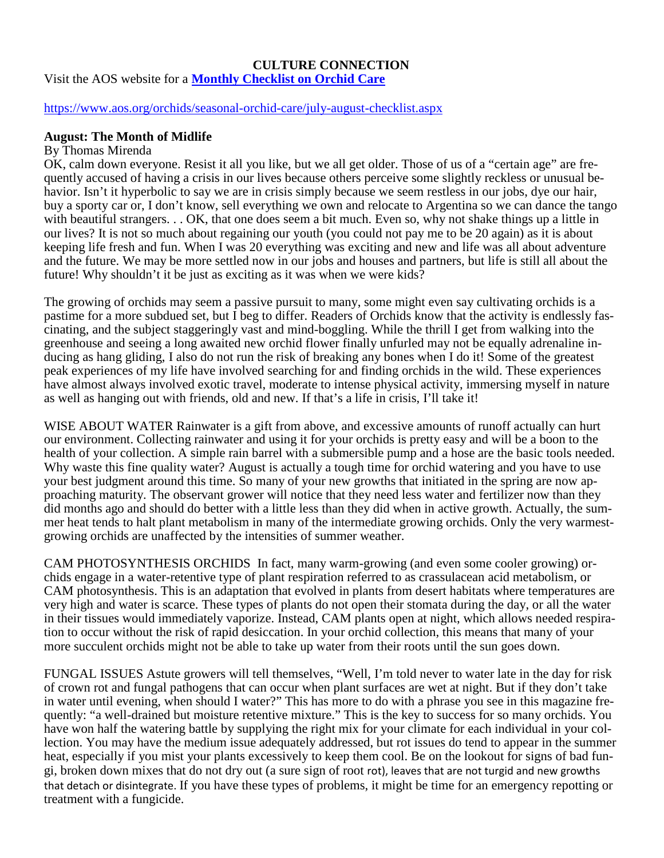#### **CULTURE CONNECTION** Visit the AOS website for a **Monthly Checklist on Orchid Care**

#### https://www.aos.org/orchids/seasonal-orchid-care/july-august-checklist.aspx

#### **August: The Month of Midlife**

#### By Thomas Mirenda

OK, calm down everyone. Resist it all you like, but we all get older. Those of us of a "certain age" are frequently accused of having a crisis in our lives because others perceive some slightly reckless or unusual behavior. Isn't it hyperbolic to say we are in crisis simply because we seem restless in our jobs, dye our hair, buy a sporty car or, I don't know, sell everything we own and relocate to Argentina so we can dance the tango with beautiful strangers. . . OK, that one does seem a bit much. Even so, why not shake things up a little in our lives? It is not so much about regaining our youth (you could not pay me to be 20 again) as it is about keeping life fresh and fun. When I was 20 everything was exciting and new and life was all about adventure and the future. We may be more settled now in our jobs and houses and partners, but life is still all about the future! Why shouldn't it be just as exciting as it was when we were kids?

The growing of orchids may seem a passive pursuit to many, some might even say cultivating orchids is a pastime for a more subdued set, but I beg to differ. Readers of Orchids know that the activity is endlessly fascinating, and the subject staggeringly vast and mind-boggling. While the thrill I get from walking into the greenhouse and seeing a long awaited new orchid flower finally unfurled may not be equally adrenaline inducing as hang gliding, I also do not run the risk of breaking any bones when I do it! Some of the greatest peak experiences of my life have involved searching for and finding orchids in the wild. These experiences have almost always involved exotic travel, moderate to intense physical activity, immersing myself in nature as well as hanging out with friends, old and new. If that's a life in crisis, I'll take it!

WISE ABOUT WATER Rainwater is a gift from above, and excessive amounts of runoff actually can hurt our environment. Collecting rainwater and using it for your orchids is pretty easy and will be a boon to the health of your collection. A simple rain barrel with a submersible pump and a hose are the basic tools needed. Why waste this fine quality water? August is actually a tough time for orchid watering and you have to use your best judgment around this time. So many of your new growths that initiated in the spring are now approaching maturity. The observant grower will notice that they need less water and fertilizer now than they did months ago and should do better with a little less than they did when in active growth. Actually, the summer heat tends to halt plant metabolism in many of the intermediate growing orchids. Only the very warmestgrowing orchids are unaffected by the intensities of summer weather.

CAM PHOTOSYNTHESIS ORCHIDS In fact, many warm-growing (and even some cooler growing) orchids engage in a water-retentive type of plant respiration referred to as crassulacean acid metabolism, or CAM photosynthesis. This is an adaptation that evolved in plants from desert habitats where temperatures are very high and water is scarce. These types of plants do not open their stomata during the day, or all the water in their tissues would immediately vaporize. Instead, CAM plants open at night, which allows needed respiration to occur without the risk of rapid desiccation. In your orchid collection, this means that many of your more succulent orchids might not be able to take up water from their roots until the sun goes down.

FUNGAL ISSUES Astute growers will tell themselves, "Well, I'm told never to water late in the day for risk of crown rot and fungal pathogens that can occur when plant surfaces are wet at night. But if they don't take in water until evening, when should I water?" This has more to do with a phrase you see in this magazine frequently: "a well-drained but moisture retentive mixture." This is the key to success for so many orchids. You have won half the watering battle by supplying the right mix for your climate for each individual in your collection. You may have the medium issue adequately addressed, but rot issues do tend to appear in the summer heat, especially if you mist your plants excessively to keep them cool. Be on the lookout for signs of bad fungi, broken down mixes that do not dry out (a sure sign of root rot), leaves that are not turgid and new growths that detach or disintegrate. If you have these types of problems, it might be time for an emergency repotting or treatment with a fungicide.